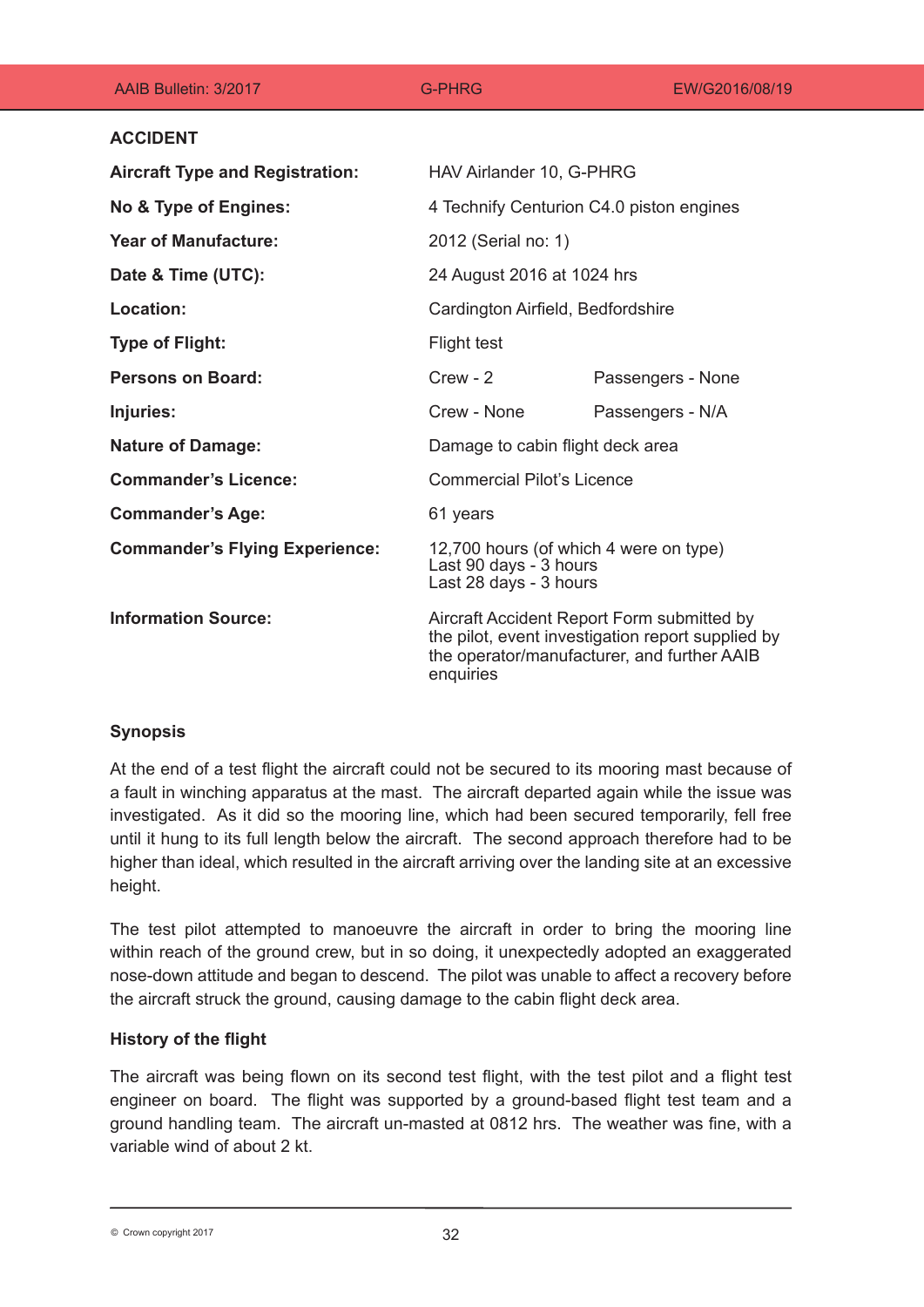| AAIB Bulletin: 3/2017                  | <b>G-PHRG</b>                                                                                                                                               | EW/G2016/08/19    |
|----------------------------------------|-------------------------------------------------------------------------------------------------------------------------------------------------------------|-------------------|
| <b>ACCIDENT</b>                        |                                                                                                                                                             |                   |
| <b>Aircraft Type and Registration:</b> | HAV Airlander 10, G-PHRG                                                                                                                                    |                   |
| No & Type of Engines:                  | 4 Technify Centurion C4.0 piston engines                                                                                                                    |                   |
| <b>Year of Manufacture:</b>            | 2012 (Serial no: 1)                                                                                                                                         |                   |
| Date & Time (UTC):                     | 24 August 2016 at 1024 hrs                                                                                                                                  |                   |
| <b>Location:</b>                       | Cardington Airfield, Bedfordshire                                                                                                                           |                   |
| <b>Type of Flight:</b>                 | <b>Flight test</b>                                                                                                                                          |                   |
| <b>Persons on Board:</b>               | $Crew - 2$                                                                                                                                                  | Passengers - None |
| Injuries:                              | Crew - None                                                                                                                                                 | Passengers - N/A  |
| <b>Nature of Damage:</b>               | Damage to cabin flight deck area                                                                                                                            |                   |
| <b>Commander's Licence:</b>            | <b>Commercial Pilot's Licence</b>                                                                                                                           |                   |
| <b>Commander's Age:</b>                | 61 years                                                                                                                                                    |                   |
| <b>Commander's Flying Experience:</b>  | 12,700 hours (of which 4 were on type)<br>Last 90 days - 3 hours<br>Last 28 days - 3 hours                                                                  |                   |
| <b>Information Source:</b>             | Aircraft Accident Report Form submitted by<br>the pilot, event investigation report supplied by<br>the operator/manufacturer, and further AAIB<br>enquiries |                   |

# **Synopsis**

At the end of a test flight the aircraft could not be secured to its mooring mast because of a fault in winching apparatus at the mast. The aircraft departed again while the issue was investigated. As it did so the mooring line, which had been secured temporarily, fell free until it hung to its full length below the aircraft. The second approach therefore had to be higher than ideal, which resulted in the aircraft arriving over the landing site at an excessive height.

The test pilot attempted to manoeuvre the aircraft in order to bring the mooring line within reach of the ground crew, but in so doing, it unexpectedly adopted an exaggerated nose-down attitude and began to descend. The pilot was unable to affect a recovery before the aircraft struck the ground, causing damage to the cabin flight deck area.

# **History of the flight**

The aircraft was being flown on its second test flight, with the test pilot and a flight test engineer on board. The flight was supported by a ground-based flight test team and a ground handling team. The aircraft un-masted at 0812 hrs. The weather was fine, with a variable wind of about 2 kt.

<sup>32</sup> © Crown copyright 2017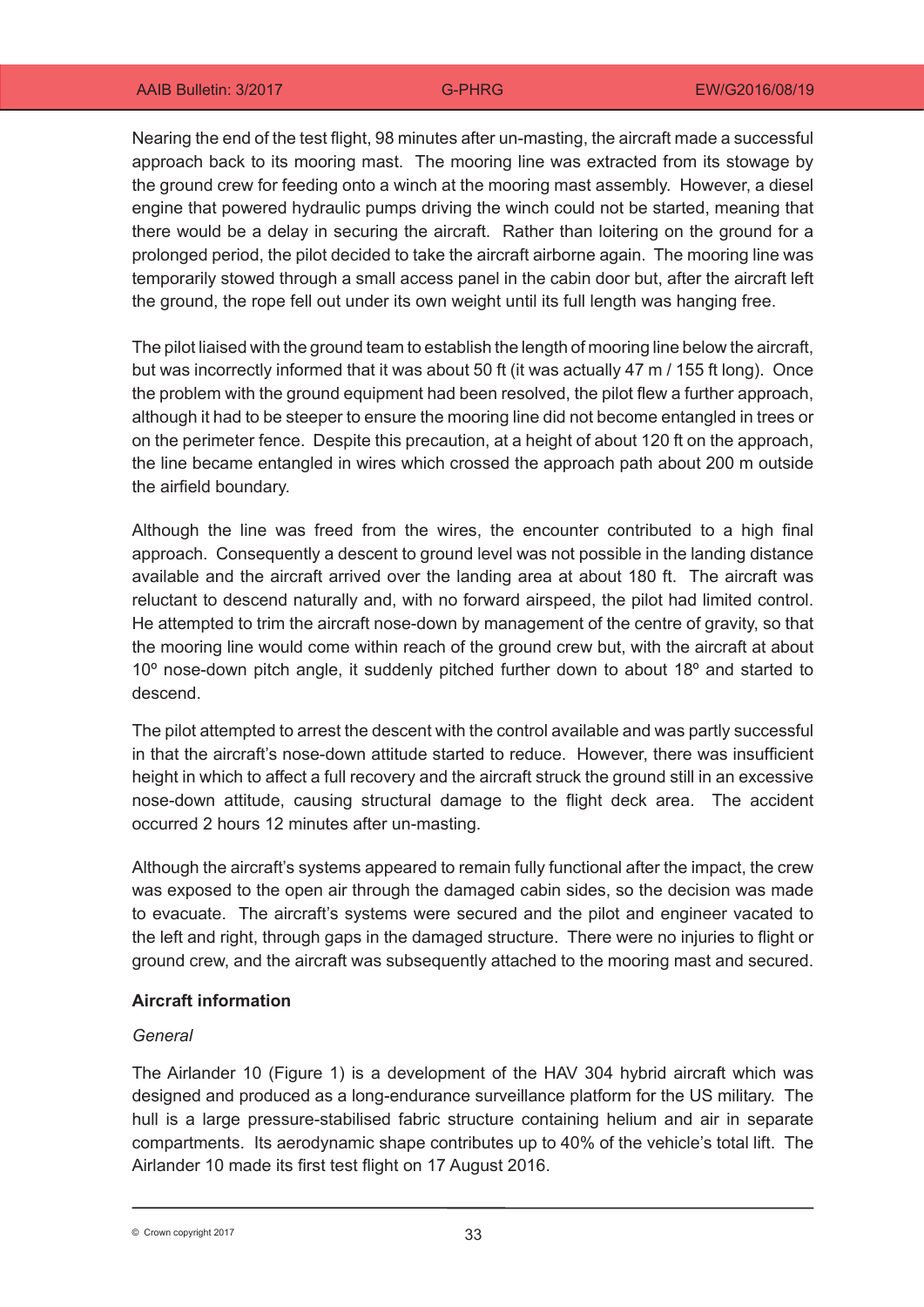Nearing the end of the test flight, 98 minutes after un-masting, the aircraft made a successful approach back to its mooring mast. The mooring line was extracted from its stowage by the ground crew for feeding onto a winch at the mooring mast assembly. However, a diesel engine that powered hydraulic pumps driving the winch could not be started, meaning that there would be a delay in securing the aircraft. Rather than loitering on the ground for a prolonged period, the pilot decided to take the aircraft airborne again. The mooring line was temporarily stowed through a small access panel in the cabin door but, after the aircraft left the ground, the rope fell out under its own weight until its full length was hanging free.

The pilot liaised with the ground team to establish the length of mooring line below the aircraft, but was incorrectly informed that it was about 50 ft (it was actually 47 m / 155 ft long). Once the problem with the ground equipment had been resolved, the pilot flew a further approach, although it had to be steeper to ensure the mooring line did not become entangled in trees or on the perimeter fence. Despite this precaution, at a height of about 120 ft on the approach, the line became entangled in wires which crossed the approach path about 200 m outside the airfield boundary.

Although the line was freed from the wires, the encounter contributed to a high final approach. Consequently a descent to ground level was not possible in the landing distance available and the aircraft arrived over the landing area at about 180 ft. The aircraft was reluctant to descend naturally and, with no forward airspeed, the pilot had limited control. He attempted to trim the aircraft nose-down by management of the centre of gravity, so that the mooring line would come within reach of the ground crew but, with the aircraft at about 10° nose-down pitch angle, it suddenly pitched further down to about 18° and started to descend.

The pilot attempted to arrest the descent with the control available and was partly successful in that the aircraft's nose-down attitude started to reduce. However, there was insufficient height in which to affect a full recovery and the aircraft struck the ground still in an excessive nose-down attitude, causing structural damage to the flight deck area. The accident occurred 2 hours 12 minutes after un-masting.

Although the aircraft's systems appeared to remain fully functional after the impact, the crew was exposed to the open air through the damaged cabin sides, so the decision was made to evacuate. The aircraft's systems were secured and the pilot and engineer vacated to the left and right, through gaps in the damaged structure. There were no injuries to flight or ground crew, and the aircraft was subsequently attached to the mooring mast and secured.

### **Aircraft information**

### *General*

The Airlander 10 (Figure 1) is a development of the HAV 304 hybrid aircraft which was designed and produced as a long-endurance surveillance platform for the US military. The hull is a large pressure-stabilised fabric structure containing helium and air in separate compartments. Its aerodynamic shape contributes up to 40% of the vehicle's total lift. The Airlander 10 made its first test flight on 17 August 2016.

© Crown copyright 2017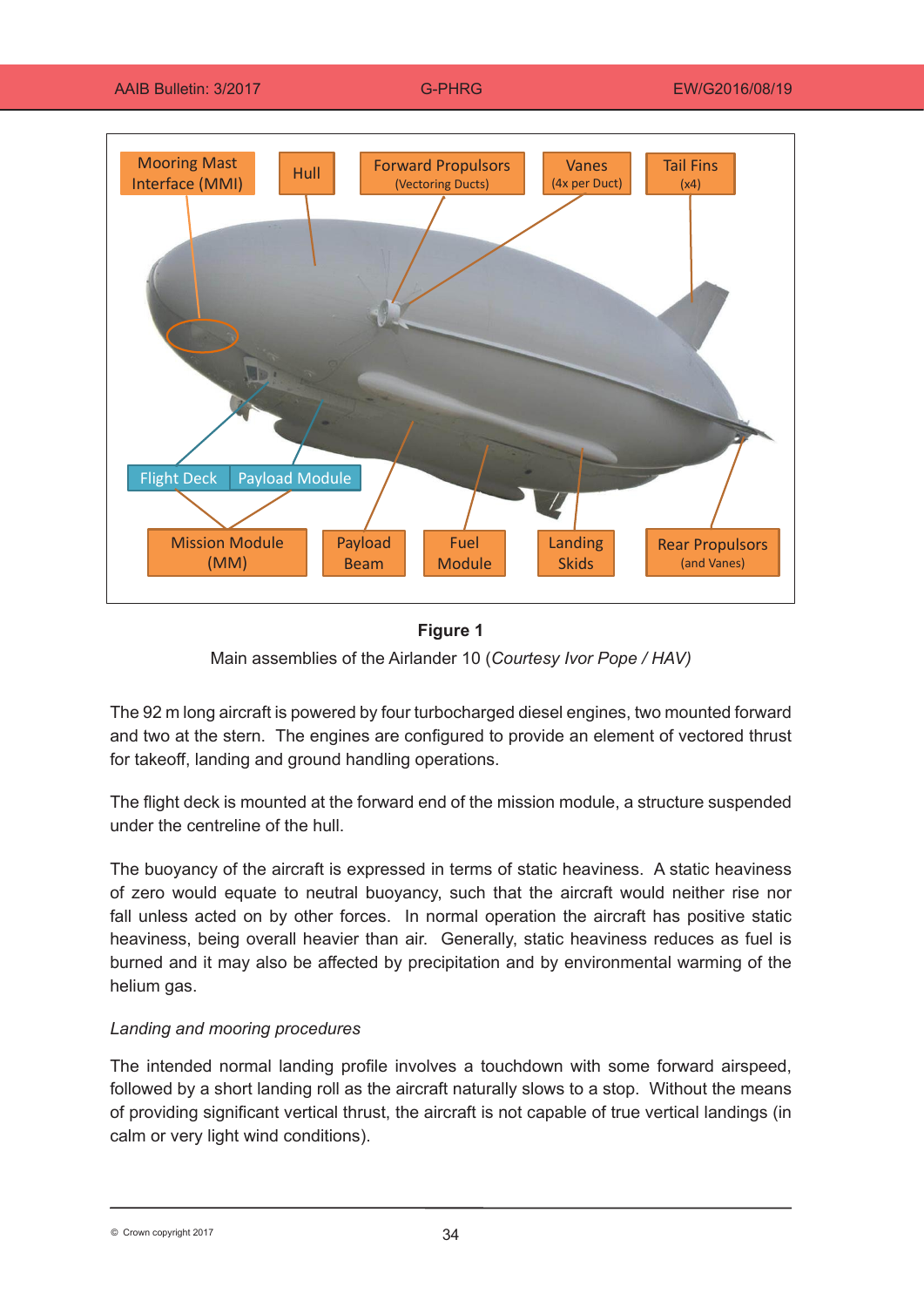AAIB Bulletin: 3/2017 G-PHRG EW/G2016/08/19



### **Figure 1**

Main assemblies of the Airlander 10 (*Courtesy Ivor Pope / HAV)*

The 92 m long aircraft is powered by four turbocharged diesel engines, two mounted forward and two at the stern. The engines are configured to provide an element of vectored thrust for takeoff, landing and ground handling operations.

The flight deck is mounted at the forward end of the mission module, a structure suspended under the centreline of the hull.

The buoyancy of the aircraft is expressed in terms of static heaviness. A static heaviness of zero would equate to neutral buoyancy, such that the aircraft would neither rise nor fall unless acted on by other forces. In normal operation the aircraft has positive static heaviness, being overall heavier than air. Generally, static heaviness reduces as fuel is burned and it may also be affected by precipitation and by environmental warming of the helium gas.

### *Landing and mooring procedures*

The intended normal landing profile involves a touchdown with some forward airspeed, followed by a short landing roll as the aircraft naturally slows to a stop. Without the means of providing significant vertical thrust, the aircraft is not capable of true vertical landings (in calm or very light wind conditions).

34 © Crown copyright 2017